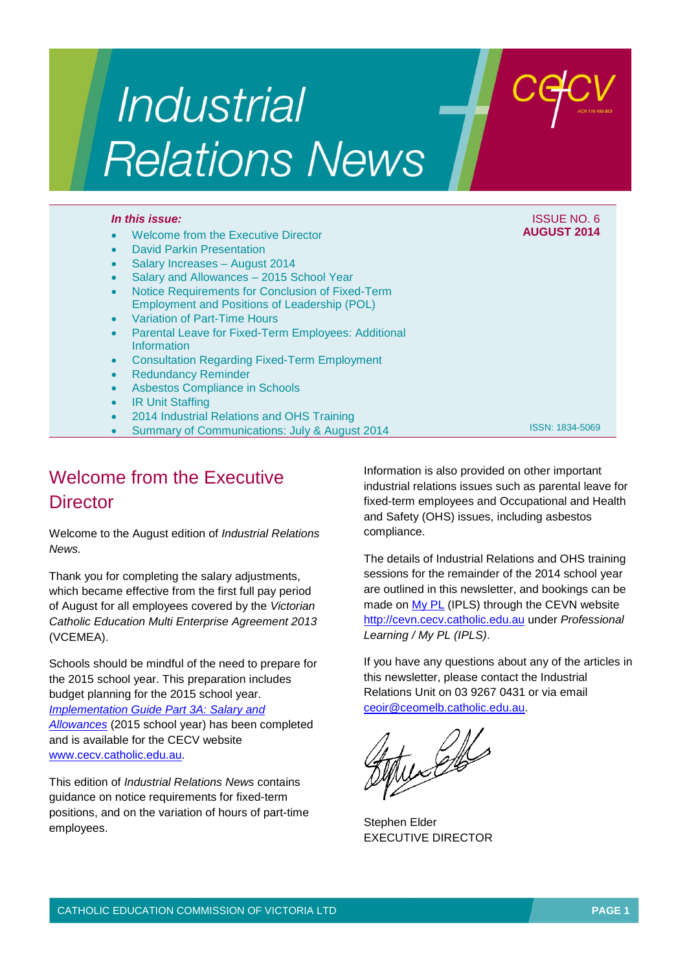# Industrial **Relations News**

#### *In this issue:* ISSUE NO. 6

- Welcome from the Executive Director
- David Parkin Presentation
- Salary Increases August 2014
- Salary and Allowances 2015 School Year
- Notice Requirements for Conclusion of Fixed-Term Employment and Positions of Leadership (POL)
- Variation of Part-Time Hours
- Parental Leave for Fixed-Term Employees: Additional Information
- Consultation Regarding Fixed-Term Employment
- Redundancy Reminder
- Asbestos Compliance in Schools
- **IR Unit Staffing**
- 2014 Industrial Relations and OHS Training
- Summary of Communications: July & August 2014

## Welcome from the Executive **Director**

Welcome to the August edition of *Industrial Relations News.*

Thank you for completing the salary adjustments, which became effective from the first full pay period of August for all employees covered by the *Victorian Catholic Education Multi Enterprise Agreement 2013* (VCEMEA).

Schools should be mindful of the need to prepare for the 2015 school year. This preparation includes budget planning for the 2015 school year.

*[Implementation Guide Part 3A: Salary and](http://www.cecv.catholic.edu.au/vcsa/Implementation_Guidelines/Part_3A.pdf)* 

*[Allowances](http://www.cecv.catholic.edu.au/vcsa/Implementation_Guidelines/Part_3A.pdf)* (2015 school year) has been completed and is available for the CECV website [www.cecv.catholic.edu.au.](http://www.cecv.catholic.edu.au/)

This edition of *Industrial Relations News* contains guidance on notice requirements for fixed-term positions, and on the variation of hours of part-time employees.

Information is also provided on other important industrial relations issues such as parental leave for fixed-term employees and Occupational and Health and Safety (OHS) issues, including asbestos compliance.

**AUGUST 2014**

ISSN: 1834-5069

The details of Industrial Relations and OHS training sessions for the remainder of the 2014 school year are outlined in this newsletter, and bookings can be made on [My PL](http://cevn.cecv.catholic.edu.au/pl/myipls.htm) (IPLS) through the CEVN website [http://cevn.cecv.catholic.edu.au](http://cevn.cecv.catholic.edu.au/) under *Professional Learning / My PL (IPLS)*.

If you have any questions about any of the articles in this newsletter, please contact the Industrial Relations Unit on 03 9267 0431 or via email [ceoir@ceomelb.catholic.edu.au.](mailto:ceoir@ceomelb.catholic.edu.au)

Web

Stephen Elder EXECUTIVE DIRECTOR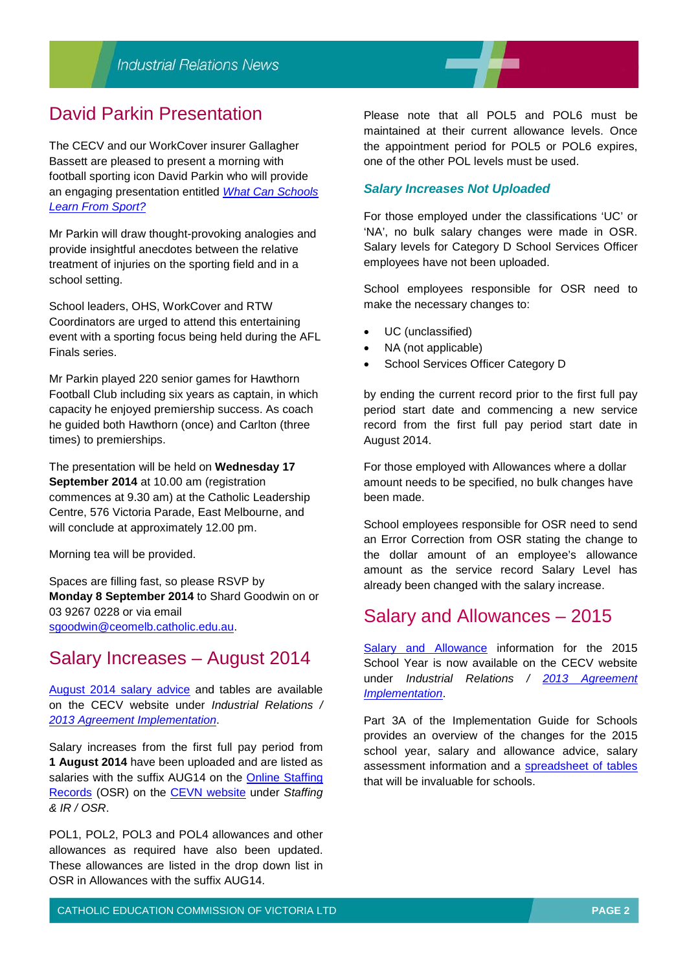## David Parkin Presentation

The CECV and our WorkCover insurer Gallagher Bassett are pleased to present a morning with football sporting icon David Parkin who will provide an engaging presentation entitled *[What Can Schools](http://www.cecv.catholic.edu.au/vcsa/communications/What_can_schools_learn_from_sport___%5b1%5d.pdf)  [Learn From Sport?](http://www.cecv.catholic.edu.au/vcsa/communications/What_can_schools_learn_from_sport___%5b1%5d.pdf)*

Mr Parkin will draw thought-provoking analogies and provide insightful anecdotes between the relative treatment of injuries on the sporting field and in a school setting.

School leaders, OHS, WorkCover and RTW Coordinators are urged to attend this entertaining event with a sporting focus being held during the AFL Finals series.

Mr Parkin played 220 senior games for Hawthorn Football Club including six years as captain, in which capacity he enjoyed premiership success. As coach he guided both Hawthorn (once) and Carlton (three times) to premierships.

The presentation will be held on **Wednesday 17 September 2014** at 10.00 am (registration commences at 9.30 am) at the Catholic Leadership Centre, 576 Victoria Parade, East Melbourne, and will conclude at approximately 12.00 pm.

Morning tea will be provided.

Spaces are filling fast, so please RSVP by **Monday 8 September 2014** to Shard Goodwin on or 03 9267 0228 or via email [sgoodwin@ceomelb.catholic.edu.au.](mailto:sgoodwin@ceomelb.catholic.edu.au)

## Salary Increases – August 2014

[August 2014 salary advice](http://www.cecv.catholic.edu.au/vcsa/communications/CECV%20__Increase%20to%20salaries%20and%20allowances__%20%E2%80%93%20August%202014%5b1%5d.pdf) and tables are available on the CECV website under *Industrial Relations / [2013 Agreement Implementation](http://www.cecv.catholic.edu.au/frameset.htm?page=industrial)*.

Salary increases from the first full pay period from **1 August 2014** have been uploaded and are listed as salaries with the suffix AUG14 on the Online Staffing [Records](http://cevn.cecv.catholic.edu.au/staffingir/osr.htm) (OSR) on the [CEVN website](http://cevn.cecv.catholic.edu.au/) under *Staffing & IR / OSR*.

POL1, POL2, POL3 and POL4 allowances and other allowances as required have also been updated. These allowances are listed in the drop down list in OSR in Allowances with the suffix AUG14.

Please note that all POL5 and POL6 must be maintained at their current allowance levels. Once the appointment period for POL5 or POL6 expires, one of the other POL levels must be used.

#### *Salary Increases Not Uploaded*

For those employed under the classifications 'UC' or 'NA', no bulk salary changes were made in OSR. Salary levels for Category D School Services Officer employees have not been uploaded.

School employees responsible for OSR need to make the necessary changes to:

- UC (unclassified)
- NA (not applicable)
- School Services Officer Category D

by ending the current record prior to the first full pay period start date and commencing a new service record from the first full pay period start date in August 2014.

For those employed with Allowances where a dollar amount needs to be specified, no bulk changes have been made.

School employees responsible for OSR need to send an Error Correction from OSR stating the change to the dollar amount of an employee's allowance amount as the service record Salary Level has already been changed with the salary increase.

### Salary and Allowances – 2015

[Salary and Allowance](http://www.cecv.catholic.edu.au/vcsa/Implementation_Guidelines/Part_3A.pdf) information for the 2015 School Year is now available on the CECV website under *Industrial Relations / [2013 Agreement](http://www.cecv.catholic.edu.au/frameset.htm?page=industrial)  [Implementation](http://www.cecv.catholic.edu.au/frameset.htm?page=industrial)*.

Part 3A of the Implementation Guide for Schools provides an overview of the changes for the 2015 school year, salary and allowance advice, salary assessment information and a [spreadsheet of tables](http://www.cecv.catholic.edu.au/vcsa/Implementation_Guidelines/2015_Implementation_tables.xls) that will be invaluable for schools.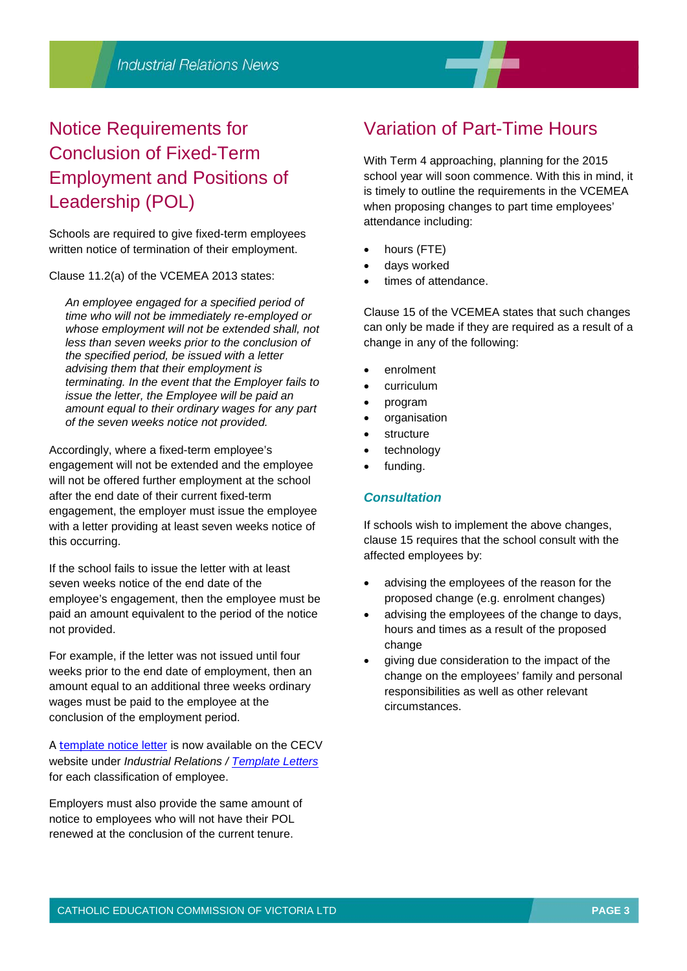# Notice Requirements for Conclusion of Fixed-Term Employment and Positions of Leadership (POL)

Schools are required to give fixed-term employees written notice of termination of their employment.

Clause 11.2(a) of the VCEMEA 2013 states:

*An employee engaged for a specified period of time who will not be immediately re-employed or whose employment will not be extended shall, not less than seven weeks prior to the conclusion of the specified period, be issued with a letter advising them that their employment is terminating. In the event that the Employer fails to issue the letter, the Employee will be paid an amount equal to their ordinary wages for any part of the seven weeks notice not provided.*

Accordingly, where a fixed-term employee's engagement will not be extended and the employee will not be offered further employment at the school after the end date of their current fixed-term engagement, the employer must issue the employee with a letter providing at least seven weeks notice of this occurring.

If the school fails to issue the letter with at least seven weeks notice of the end date of the employee's engagement, then the employee must be paid an amount equivalent to the period of the notice not provided.

For example, if the letter was not issued until four weeks prior to the end date of employment, then an amount equal to an additional three weeks ordinary wages must be paid to the employee at the conclusion of the employment period.

A t[emplate notice letter](http://web.cecv.catholic.edu.au/vcsa/lettersofappointment/instructions.html) is now available on the CECV website under *Industrial Relations / [Template Letters](http://www.cecv.catholic.edu.au/vcsa/lettersofappointment/appoint.htm)* for each classification of employee.

Employers must also provide the same amount of notice to employees who will not have their POL renewed at the conclusion of the current tenure.

## Variation of Part-Time Hours

With Term 4 approaching, planning for the 2015 school year will soon commence. With this in mind, it is timely to outline the requirements in the VCEMEA when proposing changes to part time employees' attendance including:

- hours (FTE)
- days worked
- times of attendance.

Clause 15 of the VCEMEA states that such changes can only be made if they are required as a result of a change in any of the following:

- enrolment
- curriculum
- program
- organisation
- **structure**
- technology
- funding.

#### *Consultation*

If schools wish to implement the above changes, clause 15 requires that the school consult with the affected employees by:

- advising the employees of the reason for the proposed change (e.g. enrolment changes)
- advising the employees of the change to days, hours and times as a result of the proposed change
- giving due consideration to the impact of the change on the employees' family and personal responsibilities as well as other relevant circumstances.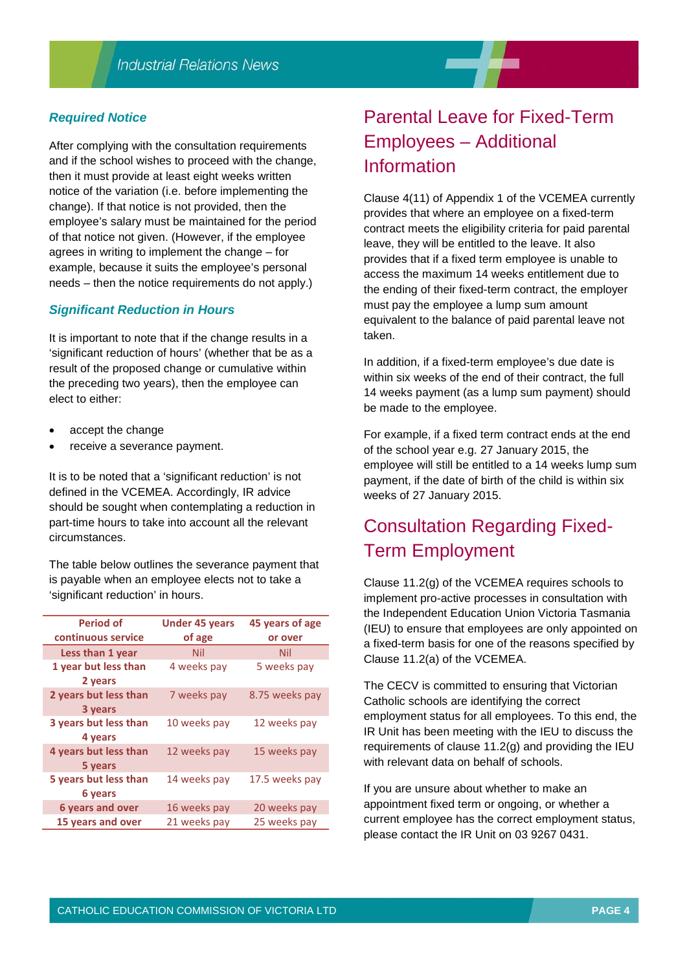#### *Required Notice*

After complying with the consultation requirements and if the school wishes to proceed with the change, then it must provide at least eight weeks written notice of the variation (i.e. before implementing the change). If that notice is not provided, then the employee's salary must be maintained for the period of that notice not given. (However, if the employee agrees in writing to implement the change – for example, because it suits the employee's personal needs – then the notice requirements do not apply.)

#### *Significant Reduction in Hours*

It is important to note that if the change results in a 'significant reduction of hours' (whether that be as a result of the proposed change or cumulative within the preceding two years), then the employee can elect to either:

- accept the change
- receive a severance payment.

It is to be noted that a 'significant reduction' is not defined in the VCEMEA. Accordingly, IR advice should be sought when contemplating a reduction in part-time hours to take into account all the relevant circumstances.

The table below outlines the severance payment that is payable when an employee elects not to take a 'significant reduction' in hours.

| Period of                        | <b>Under 45 years</b> | 45 years of age |
|----------------------------------|-----------------------|-----------------|
| continuous service               | of age                | or over         |
| Less than 1 year                 | Nil                   | Nil             |
| 1 year but less than<br>2 years  | 4 weeks pay           | 5 weeks pay     |
| 2 years but less than<br>3 years | 7 weeks pay           | 8.75 weeks pay  |
| 3 years but less than<br>4 years | 10 weeks pay          | 12 weeks pay    |
| 4 years but less than<br>5 years | 12 weeks pay          | 15 weeks pay    |
| 5 years but less than<br>6 years | 14 weeks pay          | 17.5 weeks pay  |
| <b>6 years and over</b>          | 16 weeks pay          | 20 weeks pay    |
| 15 years and over                | 21 weeks pay          | 25 weeks pay    |

# Parental Leave for Fixed-Term Employees – Additional Information

Clause 4(11) of Appendix 1 of the VCEMEA currently provides that where an employee on a fixed-term contract meets the eligibility criteria for paid parental leave, they will be entitled to the leave. It also provides that if a fixed term employee is unable to access the maximum 14 weeks entitlement due to the ending of their fixed-term contract, the employer must pay the employee a lump sum amount equivalent to the balance of paid parental leave not taken.

In addition, if a fixed-term employee's due date is within six weeks of the end of their contract, the full 14 weeks payment (as a lump sum payment) should be made to the employee.

For example, if a fixed term contract ends at the end of the school year e.g. 27 January 2015, the employee will still be entitled to a 14 weeks lump sum payment, if the date of birth of the child is within six weeks of 27 January 2015.

## Consultation Regarding Fixed-Term Employment

Clause 11.2(g) of the VCEMEA requires schools to implement pro-active processes in consultation with the Independent Education Union Victoria Tasmania (IEU) to ensure that employees are only appointed on a fixed-term basis for one of the reasons specified by Clause 11.2(a) of the VCEMEA.

The CECV is committed to ensuring that Victorian Catholic schools are identifying the correct employment status for all employees. To this end, the IR Unit has been meeting with the IEU to discuss the requirements of clause 11.2(g) and providing the IEU with relevant data on behalf of schools.

If you are unsure about whether to make an appointment fixed term or ongoing, or whether a current employee has the correct employment status, please contact the IR Unit on 03 9267 0431.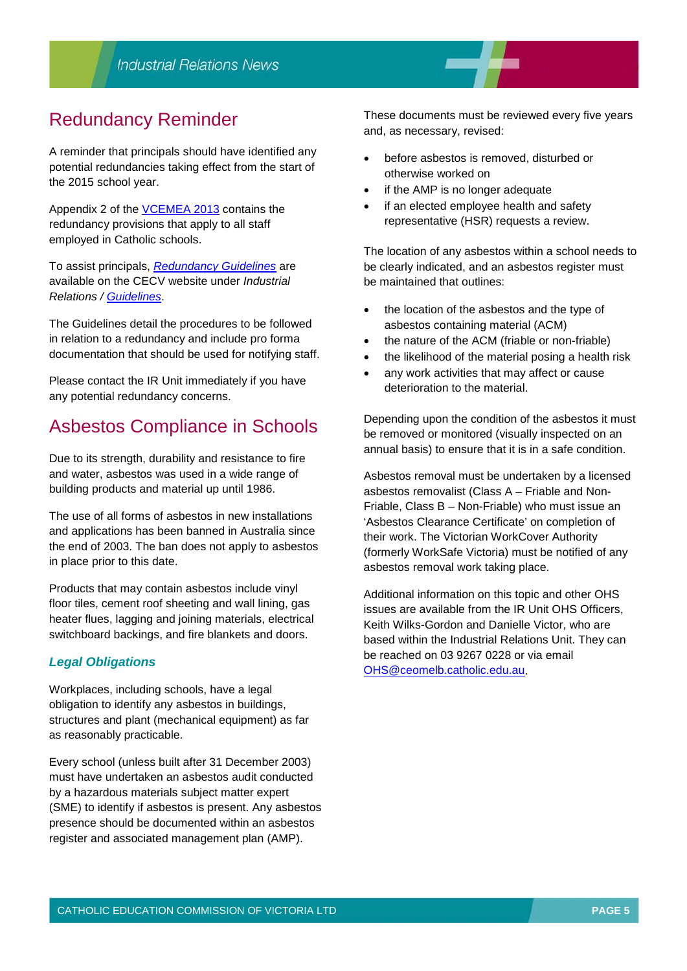## Redundancy Reminder

A reminder that principals should have identified any potential redundancies taking effect from the start of the 2015 school year.

Appendix 2 of the [VCEMEA 2013](http://web.cecv.catholic.edu.au/vcsa/Agreement_2013/VCEMEA_2013.pdf) contains the redundancy provisions that apply to all staff employed in Catholic schools.

To assist principals, *[Redundancy Guidelines](http://web.cecv.catholic.edu.au/vcsa/guidelines/redundancy/RedundGlines.pdf)* are available on the CECV website under *Industrial Relations / [Guidelines](http://web.cecv.catholic.edu.au/vcsa/guidelines/guideindex.htm)*.

The Guidelines detail the procedures to be followed in relation to a redundancy and include pro forma documentation that should be used for notifying staff.

Please contact the IR Unit immediately if you have any potential redundancy concerns.

## Asbestos Compliance in Schools

Due to its strength, durability and resistance to fire and water, asbestos was used in a wide range of building products and material up until 1986.

The use of all forms of asbestos in new installations and applications has been banned in Australia since the end of 2003. The ban does not apply to asbestos in place prior to this date.

Products that may contain asbestos include vinyl floor tiles, cement roof sheeting and wall lining, gas heater flues, lagging and joining materials, electrical switchboard backings, and fire blankets and doors.

#### *Legal Obligations*

Workplaces, including schools, have a legal obligation to identify any asbestos in buildings, structures and plant (mechanical equipment) as far as reasonably practicable.

Every school (unless built after 31 December 2003) must have undertaken an asbestos audit conducted by a hazardous materials subject matter expert (SME) to identify if asbestos is present. Any asbestos presence should be documented within an asbestos register and associated management plan (AMP).

These documents must be reviewed every five years and, as necessary, revised:

- before asbestos is removed, disturbed or otherwise worked on
- if the AMP is no longer adequate
- if an elected employee health and safety representative (HSR) requests a review.

The location of any asbestos within a school needs to be clearly indicated, and an asbestos register must be maintained that outlines:

- the location of the asbestos and the type of asbestos containing material (ACM)
- the nature of the ACM (friable or non-friable)
- the likelihood of the material posing a health risk
- any work activities that may affect or cause deterioration to the material.

Depending upon the condition of the asbestos it must be removed or monitored (visually inspected on an annual basis) to ensure that it is in a safe condition.

Asbestos removal must be undertaken by a licensed asbestos removalist (Class A – Friable and Non-Friable, Class B – Non-Friable) who must issue an 'Asbestos Clearance Certificate' on completion of their work. The Victorian WorkCover Authority (formerly WorkSafe Victoria) must be notified of any asbestos removal work taking place.

Additional information on this topic and other OHS issues are available from the IR Unit OHS Officers, Keith Wilks-Gordon and Danielle Victor, who are based within the Industrial Relations Unit. They can be reached on 03 9267 0228 or via email [OHS@ceomelb.catholic.edu.au.](mailto:OHS@ceomelb.catholic.edu.au)